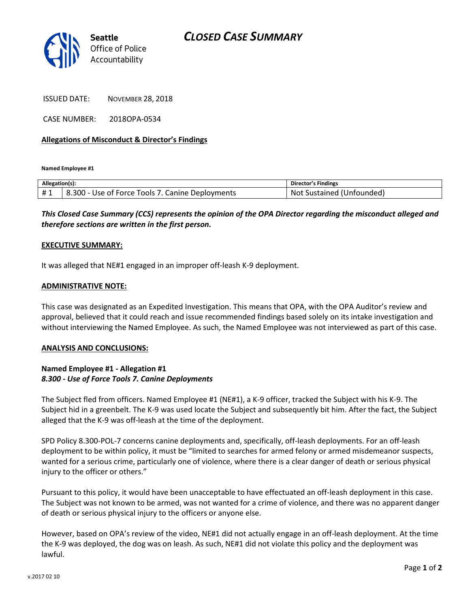

ISSUED DATE: NOVEMBER 28, 2018

CASE NUMBER: 2018OPA-0534

## **Allegations of Misconduct & Director's Findings**

**Named Employee #1**

| Allegation(s): |                                                            | 's Findings<br>Director          |
|----------------|------------------------------------------------------------|----------------------------------|
| #1             | 300<br>Canine<br>Deployments<br>TOOLS.<br><br>Use of Force | NΩ<br>sustained<br>l (Unfounded) |

*This Closed Case Summary (CCS) represents the opinion of the OPA Director regarding the misconduct alleged and therefore sections are written in the first person.* 

## **EXECUTIVE SUMMARY:**

It was alleged that NE#1 engaged in an improper off-leash K-9 deployment.

#### **ADMINISTRATIVE NOTE:**

This case was designated as an Expedited Investigation. This means that OPA, with the OPA Auditor's review and approval, believed that it could reach and issue recommended findings based solely on its intake investigation and without interviewing the Named Employee. As such, the Named Employee was not interviewed as part of this case.

#### **ANALYSIS AND CONCLUSIONS:**

## **Named Employee #1 - Allegation #1** *8.300 - Use of Force Tools 7. Canine Deployments*

The Subject fled from officers. Named Employee #1 (NE#1), a K-9 officer, tracked the Subject with his K-9. The Subject hid in a greenbelt. The K-9 was used locate the Subject and subsequently bit him. After the fact, the Subject alleged that the K-9 was off-leash at the time of the deployment.

SPD Policy 8.300-POL-7 concerns canine deployments and, specifically, off-leash deployments. For an off-leash deployment to be within policy, it must be "limited to searches for armed felony or armed misdemeanor suspects, wanted for a serious crime, particularly one of violence, where there is a clear danger of death or serious physical injury to the officer or others."

Pursuant to this policy, it would have been unacceptable to have effectuated an off-leash deployment in this case. The Subject was not known to be armed, was not wanted for a crime of violence, and there was no apparent danger of death or serious physical injury to the officers or anyone else.

However, based on OPA's review of the video, NE#1 did not actually engage in an off-leash deployment. At the time the K-9 was deployed, the dog was on leash. As such, NE#1 did not violate this policy and the deployment was lawful.